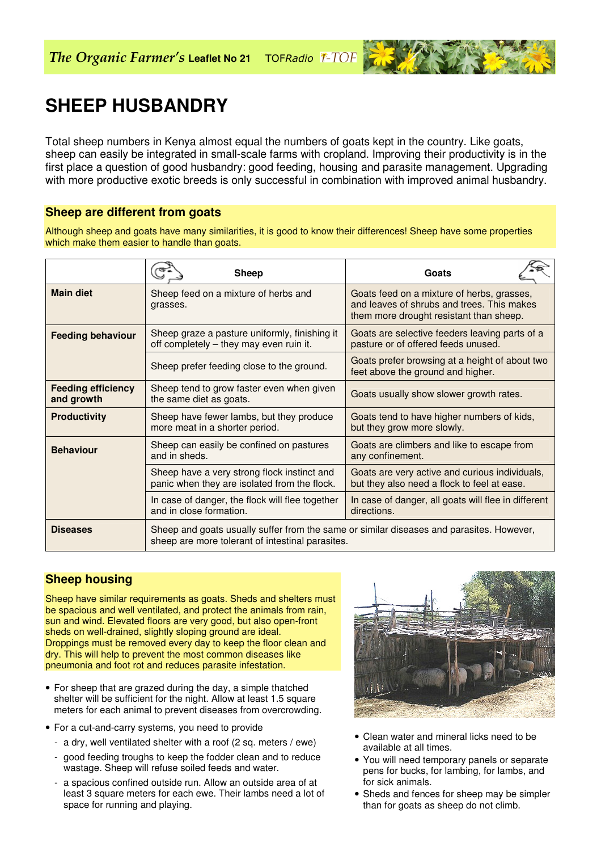# **SHEEP HUSBANDRY**

Total sheep numbers in Kenya almost equal the numbers of goats kept in the country. Like goats, sheep can easily be integrated in small-scale farms with cropland. Improving their productivity is in the first place a question of good husbandry: good feeding, housing and parasite management. Upgrading with more productive exotic breeds is only successful in combination with improved animal husbandry.

## **Sheep are different from goats**

Although sheep and goats have many similarities, it is good to know their differences! Sheep have some properties which make them easier to handle than goats.

|                                         | <b>Sheep</b>                                                                                                                                 | Goats                                                                                                                               |
|-----------------------------------------|----------------------------------------------------------------------------------------------------------------------------------------------|-------------------------------------------------------------------------------------------------------------------------------------|
| <b>Main diet</b>                        | Sheep feed on a mixture of herbs and<br>grasses.                                                                                             | Goats feed on a mixture of herbs, grasses,<br>and leaves of shrubs and trees. This makes<br>them more drought resistant than sheep. |
| <b>Feeding behaviour</b>                | Sheep graze a pasture uniformly, finishing it<br>off completely – they may even ruin it.                                                     | Goats are selective feeders leaving parts of a<br>pasture or of offered feeds unused.                                               |
|                                         | Sheep prefer feeding close to the ground.                                                                                                    | Goats prefer browsing at a height of about two<br>feet above the ground and higher.                                                 |
| <b>Feeding efficiency</b><br>and growth | Sheep tend to grow faster even when given<br>the same diet as goats.                                                                         | Goats usually show slower growth rates.                                                                                             |
| <b>Productivity</b>                     | Sheep have fewer lambs, but they produce<br>more meat in a shorter period.                                                                   | Goats tend to have higher numbers of kids,<br>but they grow more slowly.                                                            |
| <b>Behaviour</b>                        | Sheep can easily be confined on pastures<br>and in sheds.                                                                                    | Goats are climbers and like to escape from<br>any confinement.                                                                      |
|                                         | Sheep have a very strong flock instinct and<br>panic when they are isolated from the flock.                                                  | Goats are very active and curious individuals,<br>but they also need a flock to feel at ease.                                       |
|                                         | In case of danger, the flock will flee together<br>and in close formation.                                                                   | In case of danger, all goats will flee in different<br>directions.                                                                  |
| <b>Diseases</b>                         | Sheep and goats usually suffer from the same or similar diseases and parasites. However,<br>sheep are more tolerant of intestinal parasites. |                                                                                                                                     |

## **Sheep housing**

Sheep have similar requirements as goats. Sheds and shelters must be spacious and well ventilated, and protect the animals from rain, sun and wind. Elevated floors are very good, but also open-front sheds on well-drained, slightly sloping ground are ideal. Droppings must be removed every day to keep the floor clean and dry. This will help to prevent the most common diseases like pneumonia and foot rot and reduces parasite infestation.

- For sheep that are grazed during the day, a simple thatched shelter will be sufficient for the night. Allow at least 1.5 square meters for each animal to prevent diseases from overcrowding.
- For a cut-and-carry systems, you need to provide
	- a dry, well ventilated shelter with a roof (2 sq. meters / ewe)
	- good feeding troughs to keep the fodder clean and to reduce wastage. Sheep will refuse soiled feeds and water.
	- a spacious confined outside run. Allow an outside area of at least 3 square meters for each ewe. Their lambs need a lot of space for running and playing.



- Clean water and mineral licks need to be available at all times.
- You will need temporary panels or separate pens for bucks, for lambing, for lambs, and for sick animals.
- Sheds and fences for sheep may be simpler than for goats as sheep do not climb.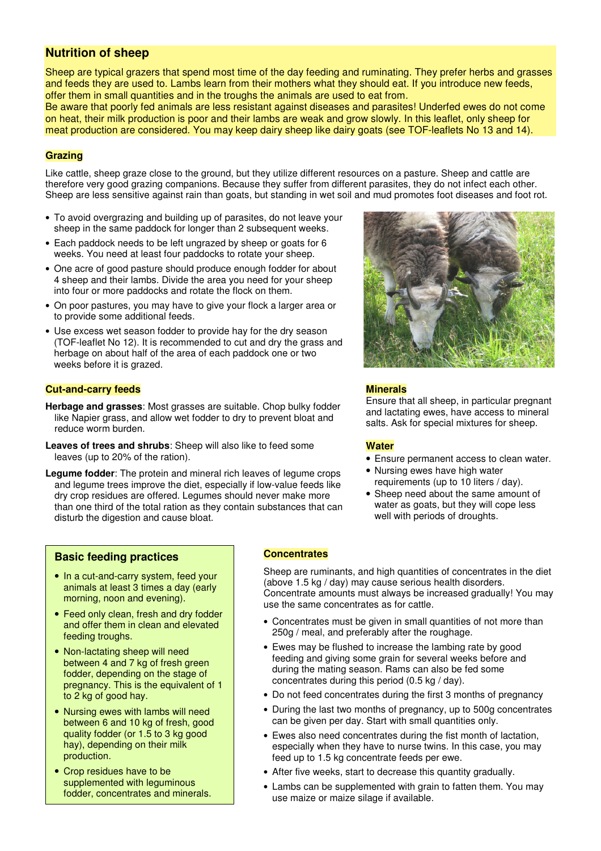## **Nutrition of sheep**

Sheep are typical grazers that spend most time of the day feeding and ruminating. They prefer herbs and grasses and feeds they are used to. Lambs learn from their mothers what they should eat. If you introduce new feeds, offer them in small quantities and in the troughs the animals are used to eat from.

Be aware that poorly fed animals are less resistant against diseases and parasites! Underfed ewes do not come on heat, their milk production is poor and their lambs are weak and grow slowly. In this leaflet, only sheep for meat production are considered. You may keep dairy sheep like dairy goats (see TOF-leaflets No 13 and 14).

#### **Grazing**

Like cattle, sheep graze close to the ground, but they utilize different resources on a pasture. Sheep and cattle are therefore very good grazing companions. Because they suffer from different parasites, they do not infect each other. Sheep are less sensitive against rain than goats, but standing in wet soil and mud promotes foot diseases and foot rot.

- To avoid overgrazing and building up of parasites, do not leave your sheep in the same paddock for longer than 2 subsequent weeks.
- Each paddock needs to be left ungrazed by sheep or goats for 6 weeks. You need at least four paddocks to rotate your sheep.
- One acre of good pasture should produce enough fodder for about 4 sheep and their lambs. Divide the area you need for your sheep into four or more paddocks and rotate the flock on them.
- On poor pastures, you may have to give your flock a larger area or to provide some additional feeds.
- Use excess wet season fodder to provide hay for the dry season (TOF-leaflet No 12). It is recommended to cut and dry the grass and herbage on about half of the area of each paddock one or two weeks before it is grazed.

#### **Cut-and-carry feeds**

- **Herbage and grasses**: Most grasses are suitable. Chop bulky fodder like Napier grass, and allow wet fodder to dry to prevent bloat and reduce worm burden.
- **Leaves of trees and shrubs**: Sheep will also like to feed some leaves (up to 20% of the ration).

**Legume fodder**: The protein and mineral rich leaves of legume crops and legume trees improve the diet, especially if low-value feeds like dry crop residues are offered. Legumes should never make more than one third of the total ration as they contain substances that can disturb the digestion and cause bloat.



#### **Minerals**

Ensure that all sheep, in particular pregnant and lactating ewes, have access to mineral salts. Ask for special mixtures for sheep.

#### **Water**

- Ensure permanent access to clean water.
- Nursing ewes have high water requirements (up to 10 liters / day).
- Sheep need about the same amount of water as goats, but they will cope less well with periods of droughts.

#### **Basic feeding practices**

- In a cut-and-carry system, feed your animals at least 3 times a day (early morning, noon and evening).
- Feed only clean, fresh and dry fodder and offer them in clean and elevated feeding troughs.
- Non-lactating sheep will need between 4 and 7 kg of fresh green fodder, depending on the stage of pregnancy. This is the equivalent of 1 to 2 kg of good hay.
- Nursing ewes with lambs will need between 6 and 10 kg of fresh, good quality fodder (or 1.5 to 3 kg good hay), depending on their milk production.
- Crop residues have to be supplemented with leguminous fodder, concentrates and minerals.

#### **Concentrates**

Sheep are ruminants, and high quantities of concentrates in the diet (above 1.5 kg / day) may cause serious health disorders. Concentrate amounts must always be increased gradually! You may use the same concentrates as for cattle.

- Concentrates must be given in small quantities of not more than 250g / meal, and preferably after the roughage.
- Ewes may be flushed to increase the lambing rate by good feeding and giving some grain for several weeks before and during the mating season. Rams can also be fed some concentrates during this period (0.5 kg / day).
- Do not feed concentrates during the first 3 months of pregnancy
- During the last two months of pregnancy, up to 500g concentrates can be given per day. Start with small quantities only.
- Ewes also need concentrates during the fist month of lactation, especially when they have to nurse twins. In this case, you may feed up to 1.5 kg concentrate feeds per ewe.
- After five weeks, start to decrease this quantity gradually.
- Lambs can be supplemented with grain to fatten them. You may use maize or maize silage if available.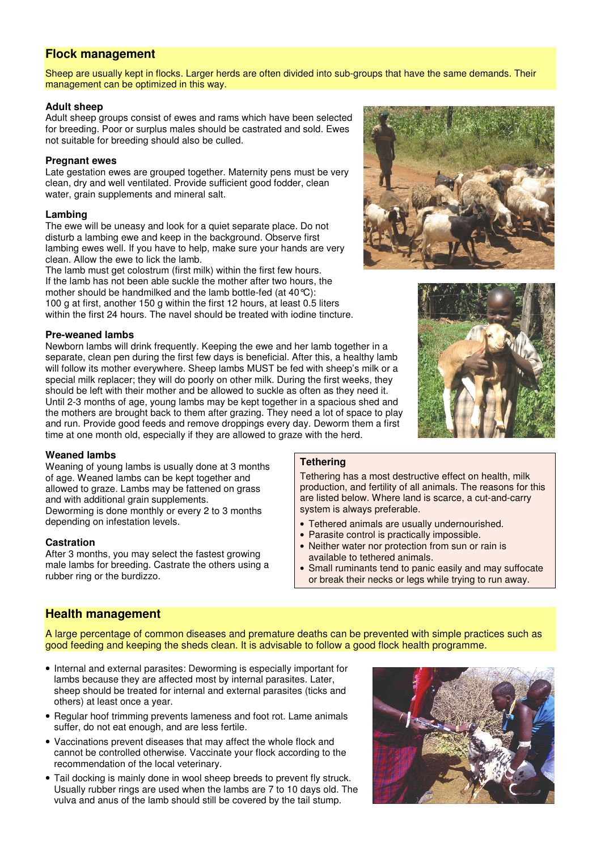## **Flock management**

Sheep are usually kept in flocks. Larger herds are often divided into sub-groups that have the same demands. Their management can be optimized in this way.

#### **Adult sheep**

Adult sheep groups consist of ewes and rams which have been selected for breeding. Poor or surplus males should be castrated and sold. Ewes not suitable for breeding should also be culled.

#### **Pregnant ewes**

Late gestation ewes are grouped together. Maternity pens must be very clean, dry and well ventilated. Provide sufficient good fodder, clean water, grain supplements and mineral salt.

#### **Lambing**

The ewe will be uneasy and look for a quiet separate place. Do not disturb a lambing ewe and keep in the background. Observe first lambing ewes well. If you have to help, make sure your hands are very clean. Allow the ewe to lick the lamb.

The lamb must get colostrum (first milk) within the first few hours. If the lamb has not been able suckle the mother after two hours, the mother should be handmilked and the lamb bottle-fed (at 40°C): 100 g at first, another 150 g within the first 12 hours, at least 0.5 liters within the first 24 hours. The navel should be treated with iodine tincture.

#### **Pre-weaned lambs**

Newborn lambs will drink frequently. Keeping the ewe and her lamb together in a separate, clean pen during the first few days is beneficial. After this, a healthy lamb will follow its mother everywhere. Sheep lambs MUST be fed with sheep's milk or a special milk replacer; they will do poorly on other milk. During the first weeks, they should be left with their mother and be allowed to suckle as often as they need it. Until 2-3 months of age, young lambs may be kept together in a spacious shed and the mothers are brought back to them after grazing. They need a lot of space to play and run. Provide good feeds and remove droppings every day. Deworm them a first time at one month old, especially if they are allowed to graze with the herd.

#### **Weaned lambs**

Weaning of young lambs is usually done at 3 months of age. Weaned lambs can be kept together and allowed to graze. Lambs may be fattened on grass and with additional grain supplements. Deworming is done monthly or every 2 to 3 months

depending on infestation levels. **Castration**

After 3 months, you may select the fastest growing male lambs for breeding. Castrate the others using a rubber ring or the burdizzo.

#### **Tethering**

Tethering has a most destructive effect on health, milk production, and fertility of all animals. The reasons for this are listed below. Where land is scarce, a cut-and-carry system is always preferable.

- Tethered animals are usually undernourished.
- Parasite control is practically impossible.
- Neither water nor protection from sun or rain is available to tethered animals.
- Small ruminants tend to panic easily and may suffocate or break their necks or legs while trying to run away.

## **Health management**

A large percentage of common diseases and premature deaths can be prevented with simple practices such as good feeding and keeping the sheds clean. It is advisable to follow a good flock health programme.

- Internal and external parasites: Deworming is especially important for lambs because they are affected most by internal parasites. Later, sheep should be treated for internal and external parasites (ticks and others) at least once a year.
- Regular hoof trimming prevents lameness and foot rot. Lame animals suffer, do not eat enough, and are less fertile.
- Vaccinations prevent diseases that may affect the whole flock and cannot be controlled otherwise. Vaccinate your flock according to the recommendation of the local veterinary.
- Tail docking is mainly done in wool sheep breeds to prevent fly struck. Usually rubber rings are used when the lambs are 7 to 10 days old. The vulva and anus of the lamb should still be covered by the tail stump.